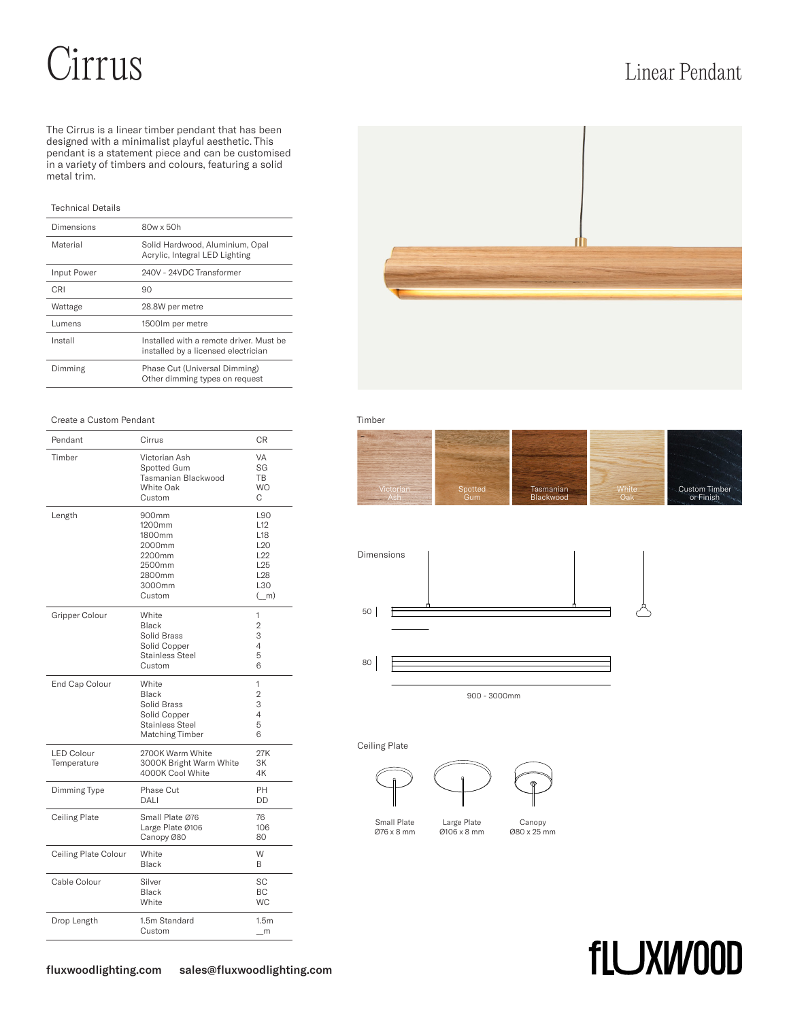# Cirrus Linear Pendant

The Cirrus is a linear timber pendant that has been designed with a minimalist playful aesthetic. This pendant is a statement piece and can be customised in a variety of timbers and colours, featuring a solid metal trim.

## Technical Details

| Dimensions  | 80w x 50h                                                                      |
|-------------|--------------------------------------------------------------------------------|
| Material    | Solid Hardwood, Aluminium, Opal<br>Acrylic, Integral LED Lighting              |
| Input Power | 240V - 24VDC Transformer                                                       |
| CRI         | 90                                                                             |
| Wattage     | 28.8W per metre                                                                |
| Lumens      | 1500 lm per metre                                                              |
| Install     | Installed with a remote driver. Must be<br>installed by a licensed electrician |
| Dimming     | Phase Cut (Universal Dimming)<br>Other dimming types on request                |



### Create a Custom Pendant **Timber** Timber

| Pendant                          | Cirrus                                                                                     | <b>CR</b>                                                                                                               |
|----------------------------------|--------------------------------------------------------------------------------------------|-------------------------------------------------------------------------------------------------------------------------|
| Timber                           | Victorian Ash<br>Spotted Gum<br>Tasmanian Blackwood<br>White Oak<br>Custom                 | VA<br>SG<br><b>TB</b><br><b>WO</b><br>C                                                                                 |
| Length                           | 900mm<br>1200mm<br>1800mm<br>2000mm<br>2200mm<br>2500mm<br>2800mm<br>3000mm<br>Custom      | L90<br>L <sub>12</sub><br>L <sub>18</sub><br>L <sub>20</sub><br>L22<br>L <sub>25</sub><br>L <sub>28</sub><br>L30<br>(m) |
| Gripper Colour                   | White<br>Black<br>Solid Brass<br>Solid Copper<br>Stainless Steel<br>Custom                 | 1<br>$\overline{2}$<br>3<br>4<br>5<br>6                                                                                 |
| End Cap Colour                   | White<br><b>Black</b><br>Solid Brass<br>Solid Copper<br>Stainless Steel<br>Matching Timber | 1<br>2<br>3<br>4<br>5<br>6                                                                                              |
| <b>LED Colour</b><br>Temperature | 2700K Warm White<br>3000K Bright Warm White<br>4000K Cool White                            | 27K<br>3K<br>4K                                                                                                         |
| Dimming Type                     | Phase Cut<br>DALI                                                                          | PH<br>DD                                                                                                                |
| <b>Ceiling Plate</b>             | Small Plate Ø76<br>Large Plate Ø106<br>Canopy Ø80                                          | 76<br>106<br>80                                                                                                         |
| Ceiling Plate Colour             | White<br><b>Black</b>                                                                      | W<br>B                                                                                                                  |
| Cable Colour                     | Silver<br><b>Black</b><br>White                                                            | <b>SC</b><br>BC<br><b>WC</b>                                                                                            |
| Drop Length                      | 1.5m Standard<br>Custom                                                                    | 1.5 <sub>m</sub><br>m                                                                                                   |

| <i>lietorian</i> | Spotted | Tasmanian | White | Custom Timber |
|------------------|---------|-----------|-------|---------------|
|                  | Gum     | Blackwood | Oak   | or Finish     |





900 - 3000mm

Ceiling Plate







Large Plate Ø106 x 8 mm Canopy Ø80 x 25 mm